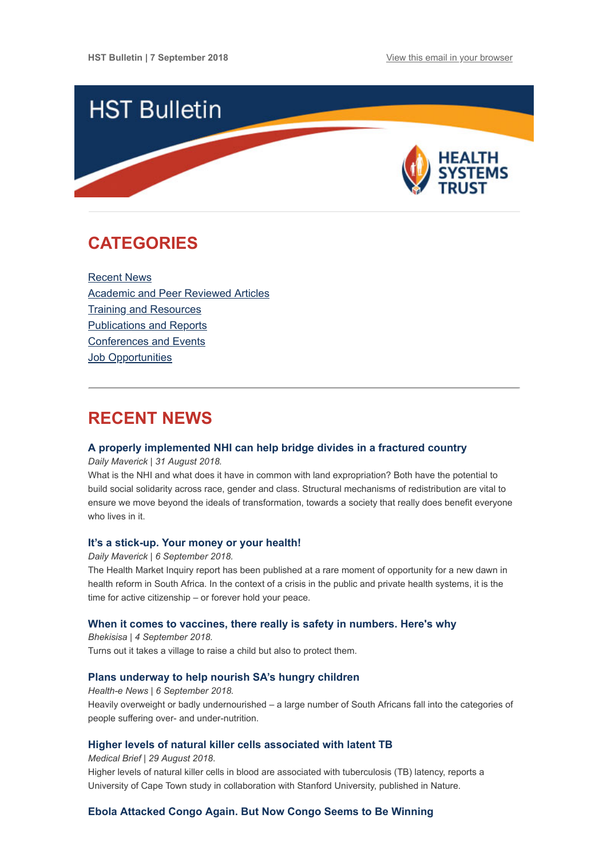

## <span id="page-0-1"></span>**CATEGORIES**

[Recent News](#page-0-0) [Academic and Peer Reviewed Articles](#page-1-0) [Training and Resources](#page-2-0) [Publications and Reports](#page-2-1) [Conferences and Events](#page-3-0) **Job Opportunities** 

### <span id="page-0-0"></span>**RECENT NEWS**

#### **[A properly implemented NHI can help bridge divides in a fractured country](https://www.dailymaverick.co.za/article/2018-08-31-a-properly-implemented-nhi-can-help-bridge-divides-in-a-fractured-country/%20%C2%A0)**

*Daily Maverick | 31 August 2018.*

What is the NHI and what does it have in common with land expropriation? Both have the potential to build social solidarity across race, gender and class. Structural mechanisms of redistribution are vital to ensure we move beyond the ideals of transformation, towards a society that really does benefit everyone who lives in it.

#### **[It's a stick-up. Your money or your health!](https://www.dailymaverick.co.za/opinionista/2018-09-06-its-a-stick-up-your-money-or-your-health/)**

*Daily Maverick | 6 September 2018.*

The Health Market Inquiry report has been published at a rare moment of opportunity for a new dawn in health reform in South Africa. In the context of a crisis in the public and private health systems, it is the time for active citizenship – or forever hold your peace.

#### **[When it comes to vaccines, there really is safety in numbers. Here's why](https://bhekisisa.org/article/2018-09-04-00-when-it-comes-with-vaccines-there-really-is-safety-in-numbers-heres-why)**

*Bhekisisa | 4 September 2018.* Turns out it takes a village to raise a child but also to protect them.

#### **[Plans underway to help nourish SA's hungry children](https://www.health-e.org.za/2018/09/06/plans-underway-to-help-nourish-sas-hungry-children/)**

*Health-e News | 6 September 2018.* Heavily overweight or badly undernourished – a large number of South Africans fall into the categories of people suffering over- and under-nutrition.

#### **[Higher levels of natural killer cells associated with latent TB](https://www.medicalbrief.co.za/archives/higher-levels-natural-killer-cells-associated-latent-tb/)**

*Medical Brief | 29 August 2018*.

Higher levels of natural killer cells in blood are associated with tuberculosis (TB) latency, reports a University of Cape Town study in collaboration with Stanford University, published in Nature.

#### **[Ebola Attacked Congo Again. But Now Congo Seems to Be Winning](https://www.nytimes.com/2018/09/02/health/ebola-virus-congo-outbreak-2018.html?utm_source=Global+Health+NOW+Main+List&utm_campaign=fecbca425b-EMAIL_CAMPAIGN_2018_08_31_05_04&utm_medium=email&utm_term=0_8d0d062dbd-fecbca425b-2811001)**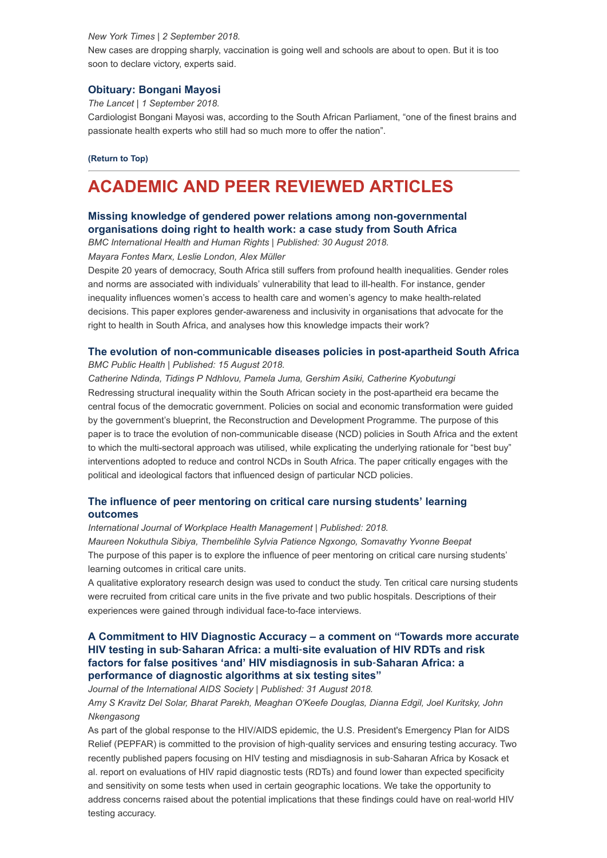#### *New York Times | 2 September 2018.*

New cases are dropping sharply, vaccination is going well and schools are about to open. But it is too soon to declare victory, experts said.

#### **[Obituary: Bongani Mayosi](https://www.thelancet.com/journals/lancet/article/PIIS0140-6736(18)31857-9/fulltext)**

*The Lancet | 1 September 2018.*

Cardiologist Bongani Mayosi was, according to the South African Parliament, "one of the finest brains and passionate health experts who still had so much more to offer the nation".

**[\(Return to Top\)](#page-0-1)**

# <span id="page-1-0"></span>**ACADEMIC AND PEER REVIEWED ARTICLES**

#### **[Missing knowledge of gendered power relations among non-governmental](https://bmcinthealthhumrights.biomedcentral.com/articles/10.1186/s12914-018-0172-4) organisations doing right to health work: a case study from South Africa**

*BMC International Health and Human Rights | Published: 30 August 2018.*

*Mayara Fontes Marx, Leslie London, Alex Müller*

Despite 20 years of democracy, South Africa still suffers from profound health inequalities. Gender roles and norms are associated with individuals' vulnerability that lead to ill-health. For instance, gender inequality influences women's access to health care and women's agency to make health-related decisions. This paper explores gender-awareness and inclusivity in organisations that advocate for the right to health in South Africa, and analyses how this knowledge impacts their work?

#### **[The evolution of non-communicable diseases policies in post-apartheid South Africa](https://bmcpublichealth.biomedcentral.com/articles/10.1186/s12889-018-5832-8)**

*BMC Public Health | Published: 15 August 2018.*

*Catherine Ndinda, Tidings P Ndhlovu, Pamela Juma, Gershim Asiki, Catherine Kyobutungi* Redressing structural inequality within the South African society in the post-apartheid era became the central focus of the democratic government. Policies on social and economic transformation were guided by the government's blueprint, the Reconstruction and Development Programme. The purpose of this paper is to trace the evolution of non-communicable disease (NCD) policies in South Africa and the extent to which the multi-sectoral approach was utilised, while explicating the underlying rationale for "best buy" interventions adopted to reduce and control NCDs in South Africa. The paper critically engages with the political and ideological factors that influenced design of particular NCD policies.

#### **[The influence of peer mentoring on critical care nursing students' learning](https://www.emeraldinsight.com/doi/full/10.1108/IJWHM-01-2018-0003) outcomes**

*International Journal of Workplace Health Management | Published: 2018.*

*Maureen Nokuthula Sibiya, Thembelihle Sylvia Patience Ngxongo, Somavathy Yvonne Beepat* The purpose of this paper is to explore the influence of peer mentoring on critical care nursing students' learning outcomes in critical care units.

A qualitative exploratory research design was used to conduct the study. Ten critical care nursing students were recruited from critical care units in the five private and two public hospitals. Descriptions of their experiences were gained through individual face-to-face interviews.

#### **[A Commitment to HIV Diagnostic Accuracy – a comment on "Towards more accurate](https://onlinelibrary.wiley.com/doi/full/10.1002/jia2.25177) HIV testing in sub**‐**Saharan Africa: a multi**‐**site evaluation of HIV RDTs and risk factors for false positives 'and' HIV misdiagnosis in sub**‐**Saharan Africa: a performance of diagnostic algorithms at six testing sites"**

*Journal of the International AIDS Society | Published: 31 August 2018.*

*Amy S Kravitz Del Solar, Bharat Parekh, Meaghan O'Keefe Douglas, Dianna Edgil, Joel Kuritsky, John Nkengasong*

As part of the global response to the HIV/AIDS epidemic, the U.S. President's Emergency Plan for AIDS Relief (PEPFAR) is committed to the provision of high-quality services and ensuring testing accuracy. Two recently published papers focusing on HIV testing and misdiagnosis in sub‐Saharan Africa by Kosack et al. report on evaluations of HIV rapid diagnostic tests (RDTs) and found lower than expected specificity and sensitivity on some tests when used in certain geographic locations. We take the opportunity to address concerns raised about the potential implications that these findings could have on real‐world HIV testing accuracy.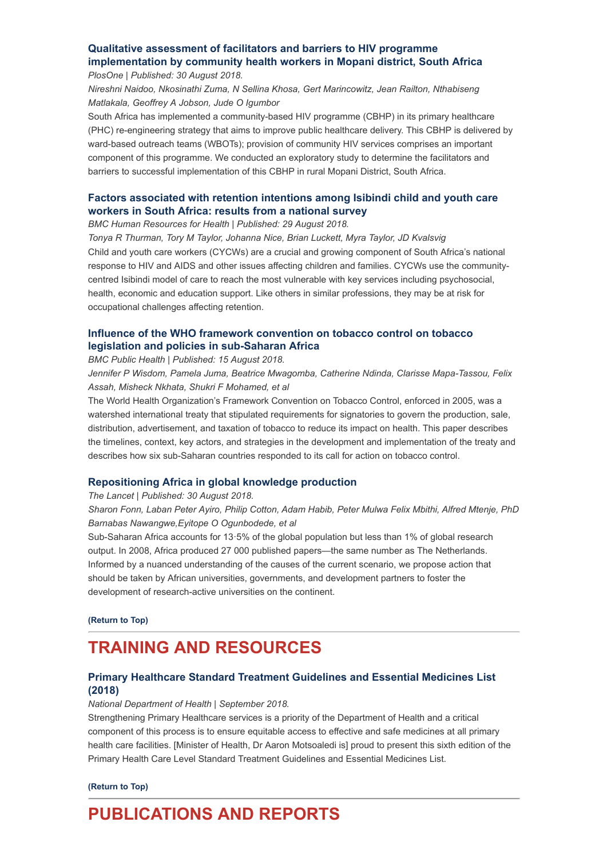#### **Qualitative assessment of facilitators and barriers to HIV programme [implementation by community health workers in Mopani district, South Africa](https://journals.plos.org/plosone/article?id=10.1371/journal.pone.0203081)** *PlosOne | Published: 30 August 2018.*

*Nireshni Naidoo, Nkosinathi Zuma, N Sellina Khosa, Gert Marincowitz, Jean Railton, Nthabiseng Matlakala, Geoffrey A Jobson, Jude O Igumbor*

South Africa has implemented a community-based HIV programme (CBHP) in its primary healthcare (PHC) re-engineering strategy that aims to improve public healthcare delivery. This CBHP is delivered by ward-based outreach teams (WBOTs); provision of community HIV services comprises an important component of this programme. We conducted an exploratory study to determine the facilitators and barriers to successful implementation of this CBHP in rural Mopani District, South Africa.

#### **[Factors associated with retention intentions among Isibindi child and youth care](https://human-resources-health.biomedcentral.com/articles/10.1186/s12960-018-0307-7) workers in South Africa: results from a national survey**

*BMC Human Resources for Health | Published: 29 August 2018.*

*Tonya R Thurman, Tory M Taylor, Johanna Nice, Brian Luckett, Myra Taylor, JD Kvalsvig* Child and youth care workers (CYCWs) are a crucial and growing component of South Africa's national response to HIV and AIDS and other issues affecting children and families. CYCWs use the communitycentred Isibindi model of care to reach the most vulnerable with key services including psychosocial, health, economic and education support. Like others in similar professions, they may be at risk for occupational challenges affecting retention.

#### **[Influence of the WHO framework convention on tobacco control on tobacco](https://bmcpublichealth.biomedcentral.com/articles/10.1186/s12889-018-5827-5) legislation and policies in sub-Saharan Africa**

*BMC Public Health | Published: 15 August 2018.*

*Jennifer P Wisdom, Pamela Juma, Beatrice Mwagomba, Catherine Ndinda, Clarisse Mapa-Tassou, Felix Assah, Misheck Nkhata, Shukri F Mohamed, et al*

The World Health Organization's Framework Convention on Tobacco Control, enforced in 2005, was a watershed international treaty that stipulated requirements for signatories to govern the production, sale, distribution, advertisement, and taxation of tobacco to reduce its impact on health. This paper describes the timelines, context, key actors, and strategies in the development and implementation of the treaty and describes how six sub-Saharan countries responded to its call for action on tobacco control.

#### **[Repositioning Africa in global knowledge production](https://www.thelancet.com/journals/lancet/article/PIIS0140-6736(18)31068-7/fulltext?code=lancet-site)**

*The Lancet | Published: 30 August 2018.*

*Sharon Fonn, Laban Peter Ayiro, Philip Cotton, Adam Habib, Peter Mulwa Felix Mbithi, Alfred Mtenje, PhD Barnabas Nawangwe,Eyitope O Ogunbodede, et al*

Sub-Saharan Africa accounts for 13·5% of the global population but less than 1% of global research output. In 2008, Africa produced 27 000 published papers—the same number as The Netherlands. Informed by a nuanced understanding of the causes of the current scenario, we propose action that should be taken by African universities, governments, and development partners to foster the development of research-active universities on the continent.

**[\(Return to Top\)](#page-0-1)**

# <span id="page-2-0"></span>**TRAINING AND RESOURCES**

#### **[Primary Healthcare Standard Treatment Guidelines and Essential Medicines List](http://www.health.gov.za/index.php/standard-treatment-guidelines-and-essential-medicines-list/category/285-phc) (2018)**

#### *National Department of Health | September 2018.*

Strengthening Primary Healthcare services is a priority of the Department of Health and a critical component of this process is to ensure equitable access to effective and safe medicines at all primary health care facilities. [Minister of Health, Dr Aaron Motsoaledi is] proud to present this sixth edition of the Primary Health Care Level Standard Treatment Guidelines and Essential Medicines List.

**[\(Return to Top\)](#page-0-1)**

# <span id="page-2-1"></span>**PUBLICATIONS AND REPORTS**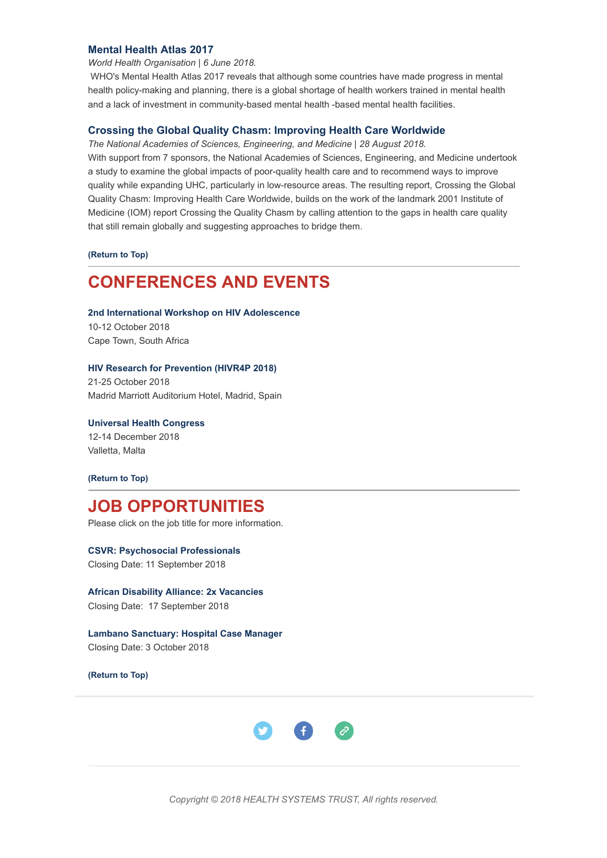#### **[Mental Health Atlas 2017](http://www.hst.org.za/publications/NonHST%20Publications/WHO%20Mental%20Health%20Atlas%202017.pdf)**

*World Health Organisation | 6 June 2018.*

 WHO's Mental Health Atlas 2017 reveals that although some countries have made progress in mental health policy-making and planning, there is a global shortage of health workers trained in mental health and a lack of investment in community-based mental health -based mental health facilities.

#### **[Crossing the Global Quality Chasm: Improving Health Care Worldwide](http://nationalacademies.org/hmd/Reports/2018/crossing-global-quality-chasm-improving-health-care-worldwide.aspx)**

*The National Academies of Sciences, Engineering, and Medicine | 28 August 2018.*

With support from 7 sponsors, the National Academies of Sciences, Engineering, and Medicine undertook a study to examine the global impacts of poor-quality health care and to recommend ways to improve quality while expanding UHC, particularly in low-resource areas. The resulting report, Crossing the Global Quality Chasm: Improving Health Care Worldwide, builds on the work of the landmark 2001 Institute of Medicine (IOM) report Crossing the Quality Chasm by calling attention to the gaps in health care quality that still remain globally and suggesting approaches to bridge them.

**[\(Return to Top\)](#page-0-1)**

### <span id="page-3-0"></span>**CONFERENCES AND EVENTS**

**[2nd International Workshop on HIV Adolescence](http://www.virology-education.com/event/upcoming/2nd-adolescence-workshop/)**

10-12 October 2018 Cape Town, South Africa

#### **[HIV Research for Prevention \(HIVR4P 2018\)](http://www.hivr4p.org/)**

21-25 October 2018 Madrid Marriott Auditorium Hotel, Madrid, Spain

**[Universal Health Congress](http://www.uhmhcongress2018.net/)** 12-14 December 2018 Valletta, Malta

**[\(Return to Top\)](#page-0-1)**

### **JOB OPPORTUNITIES**

Please click on the job title for more information.

**[CSVR: Psychosocial Professionals](http://www.ngopulse.org/opportunity/2018/08/31/psychosocial-professionals)** Closing Date: 11 September 2018

**[African Disability Alliance: 2x Vacancies](http://www.ngopulse.org/opportunity/2018/09/05/african-disability-alliance-2x-vacancies)** Closing Date: 17 September 2018

**[Lambano Sanctuary: Hospital Case Manager](http://www.ngopulse.org/opportunity/2018/09/03/hospital-case-manager)** Closing Date: 3 October 2018

**[\(Return to Top\)](#page-0-1)**



*Copyright © 2018 HEALTH SYSTEMS TRUST, All rights reserved.*